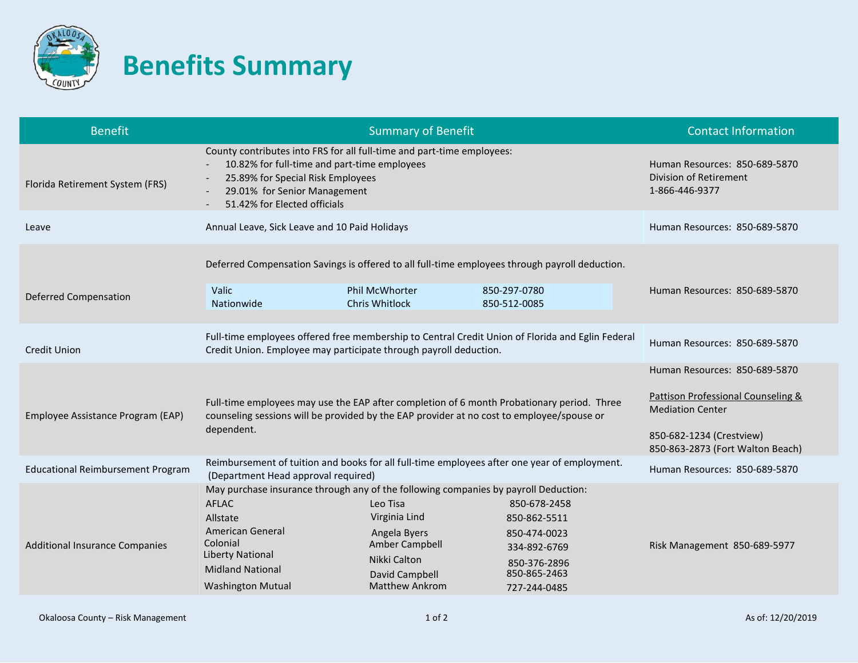

## **Benefits Summary**

| <b>Benefit</b>                           |                                                                                                                                                                                                                                          | <b>Contact Information</b>                                                                                                                                     |                                                                                                              |                               |
|------------------------------------------|------------------------------------------------------------------------------------------------------------------------------------------------------------------------------------------------------------------------------------------|----------------------------------------------------------------------------------------------------------------------------------------------------------------|--------------------------------------------------------------------------------------------------------------|-------------------------------|
| Florida Retirement System (FRS)          | County contributes into FRS for all full-time and part-time employees:<br>10.82% for full-time and part-time employees<br>25.89% for Special Risk Employees<br>29.01% for Senior Management<br>51.42% for Elected officials              | Human Resources: 850-689-5870<br><b>Division of Retirement</b><br>1-866-446-9377                                                                               |                                                                                                              |                               |
| Leave                                    | Annual Leave, Sick Leave and 10 Paid Holidays                                                                                                                                                                                            | Human Resources: 850-689-5870                                                                                                                                  |                                                                                                              |                               |
| <b>Deferred Compensation</b>             | Deferred Compensation Savings is offered to all full-time employees through payroll deduction.<br>Valic<br>Nationwide                                                                                                                    | Phil McWhorter<br><b>Chris Whitlock</b>                                                                                                                        | 850-297-0780<br>850-512-0085                                                                                 | Human Resources: 850-689-5870 |
| <b>Credit Union</b>                      | Full-time employees offered free membership to Central Credit Union of Florida and Eglin Federal<br>Credit Union. Employee may participate through payroll deduction.                                                                    | Human Resources: 850-689-5870                                                                                                                                  |                                                                                                              |                               |
| Employee Assistance Program (EAP)        | Full-time employees may use the EAP after completion of 6 month Probationary period. Three<br>counseling sessions will be provided by the EAP provider at no cost to employee/spouse or<br>dependent.                                    | Human Resources: 850-689-5870<br>Pattison Professional Counseling &<br><b>Mediation Center</b><br>850-682-1234 (Crestview)<br>850-863-2873 (Fort Walton Beach) |                                                                                                              |                               |
| <b>Educational Reimbursement Program</b> | Reimbursement of tuition and books for all full-time employees after one year of employment.<br>(Department Head approval required)                                                                                                      | Human Resources: 850-689-5870                                                                                                                                  |                                                                                                              |                               |
| <b>Additional Insurance Companies</b>    | May purchase insurance through any of the following companies by payroll Deduction:<br><b>AFLAC</b><br>Allstate<br><b>American General</b><br>Colonial<br><b>Liberty National</b><br><b>Midland National</b><br><b>Washington Mutual</b> | Leo Tisa<br>Virginia Lind<br>Angela Byers<br>Amber Campbell<br>Nikki Calton<br>David Campbell<br><b>Matthew Ankrom</b>                                         | 850-678-2458<br>850-862-5511<br>850-474-0023<br>334-892-6769<br>850-376-2896<br>850-865-2463<br>727-244-0485 | Risk Management 850-689-5977  |